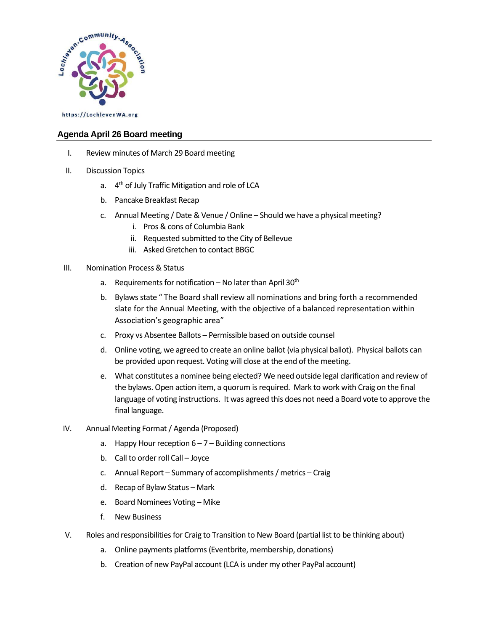

## **Agenda April 26 Board meeting**

- I. Review minutes of March 29 Board meeting
- II. Discussion Topics
	- a. 4<sup>th</sup> of July Traffic Mitigation and role of LCA
	- b. Pancake Breakfast Recap
	- c. Annual Meeting / Date & Venue / Online Should we have a physical meeting?
		- i. Pros & cons of Columbia Bank
		- ii. Requested submitted to the City of Bellevue
		- iii. Asked Gretchen to contact BBGC
- III. Nomination Process & Status
	- a. Requirements for notification No later than April  $30<sup>th</sup>$
	- b. Bylaws state " The Board shall review all nominations and bring forth a recommended slate for the Annual Meeting, with the objective of a balanced representation within Association's geographic area"
	- c. Proxy vs Absentee Ballots Permissible based on outside counsel
	- d. Online voting, we agreed to create an online ballot (via physical ballot). Physical ballots can be provided upon request. Voting will close at the end of the meeting.
	- e. What constitutes a nominee being elected? We need outside legal clarification and review of the bylaws. Open action item, a quorum is required. Mark to work with Craig on the final language of voting instructions. It was agreed this does not need a Board vote to approve the final language.
- IV. Annual Meeting Format / Agenda (Proposed)
	- a. Happy Hour reception  $6 7 -$  Building connections
	- b. Call to order roll Call Joyce
	- c. Annual Report Summary of accomplishments / metrics Craig
	- d. Recap of Bylaw Status Mark
	- e. Board Nominees Voting Mike
	- f. New Business
- V. Roles and responsibilities for Craig to Transition to New Board (partial list to be thinking about)
	- a. Online payments platforms(Eventbrite, membership, donations)
	- b. Creation of new PayPal account (LCA is under my other PayPal account)